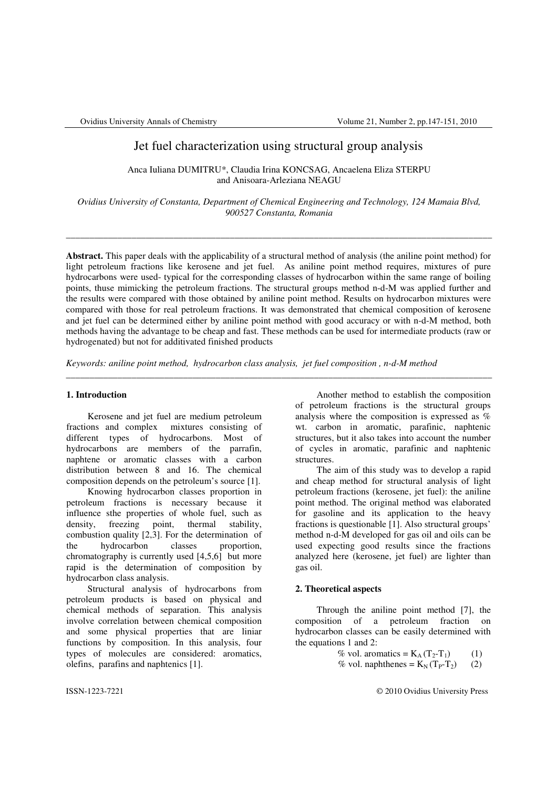# Jet fuel characterization using structural group analysis

Anca Iuliana DUMITRU\*, Claudia Irina KONCSAG, Ancaelena Eliza STERPU and Anisoara-Arleziana NEAGU

*Ovidius University of Constanta, Department of Chemical Engineering and Technology, 124 Mamaia Blvd, 900527 Constanta, Romania* 

\_\_\_\_\_\_\_\_\_\_\_\_\_\_\_\_\_\_\_\_\_\_\_\_\_\_\_\_\_\_\_\_\_\_\_\_\_\_\_\_\_\_\_\_\_\_\_\_\_\_\_\_\_\_\_\_\_\_\_\_\_\_\_\_\_\_\_\_\_\_\_\_\_\_\_\_\_\_\_\_\_\_\_\_\_\_\_\_\_\_\_

**Abstract.** This paper deals with the applicability of a structural method of analysis (the aniline point method) for light petroleum fractions like kerosene and jet fuel. As aniline point method requires, mixtures of pure hydrocarbons were used- typical for the corresponding classes of hydrocarbon within the same range of boiling points, thuse mimicking the petroleum fractions. The structural groups method n-d-M was applied further and the results were compared with those obtained by aniline point method. Results on hydrocarbon mixtures were compared with those for real petroleum fractions. It was demonstrated that chemical composition of kerosene and jet fuel can be determined either by aniline point method with good accuracy or with n-d-M method, both methods having the advantage to be cheap and fast. These methods can be used for intermediate products (raw or hydrogenated) but not for additivated finished products

\_\_\_\_\_\_\_\_\_\_\_\_\_\_\_\_\_\_\_\_\_\_\_\_\_\_\_\_\_\_\_\_\_\_\_\_\_\_\_\_\_\_\_\_\_\_\_\_\_\_\_\_\_\_\_\_\_\_\_\_\_\_\_\_\_\_\_\_\_\_\_\_\_\_\_\_\_\_\_\_\_\_\_\_\_\_\_\_\_\_\_

*Keywords: aniline point method, hydrocarbon class analysis, jet fuel composition , n-d-M method* 

## **1. Introduction**

Kerosene and jet fuel are medium petroleum fractions and complex mixtures consisting of different types of hydrocarbons. Most of hydrocarbons are members of the parrafin, naphtene or aromatic classes with a carbon distribution between 8 and 16. The chemical composition depends on the petroleum's source [1].

Knowing hydrocarbon classes proportion in petroleum fractions is necessary because it influence sthe properties of whole fuel, such as density, freezing point, thermal stability, combustion quality [2,3]. For the determination of the hydrocarbon classes proportion, chromatography is currently used [4,5,6] but more rapid is the determination of composition by hydrocarbon class analysis.

Structural analysis of hydrocarbons from petroleum products is based on physical and chemical methods of separation. This analysis involve correlation between chemical composition and some physical properties that are liniar functions by composition. In this analysis, four types of molecules are considered: aromatics, olefins, parafins and naphtenics [1].

Another method to establish the composition of petroleum fractions is the structural groups analysis where the composition is expressed as  $\%$ wt. carbon in aromatic, parafinic, naphtenic structures, but it also takes into account the number of cycles in aromatic, parafinic and naphtenic structures.

The aim of this study was to develop a rapid and cheap method for structural analysis of light petroleum fractions (kerosene, jet fuel): the aniline point method. The original method was elaborated for gasoline and its application to the heavy fractions is questionable [1]. Also structural groups' method n-d-M developed for gas oil and oils can be used expecting good results since the fractions analyzed here (kerosene, jet fuel) are lighter than gas oil.

## **2. Theoretical aspects**

Through the aniline point method [7], the composition of a petroleum fraction on hydrocarbon classes can be easily determined with the equations 1 and 2:

> % vol. aromatics =  $K_A (T_2-T_1)$  (1) % vol. naphthenes =  $K_N(T_P-T_2)$  (2)

ISSN-1223-7221 © 2010 Ovidius University Press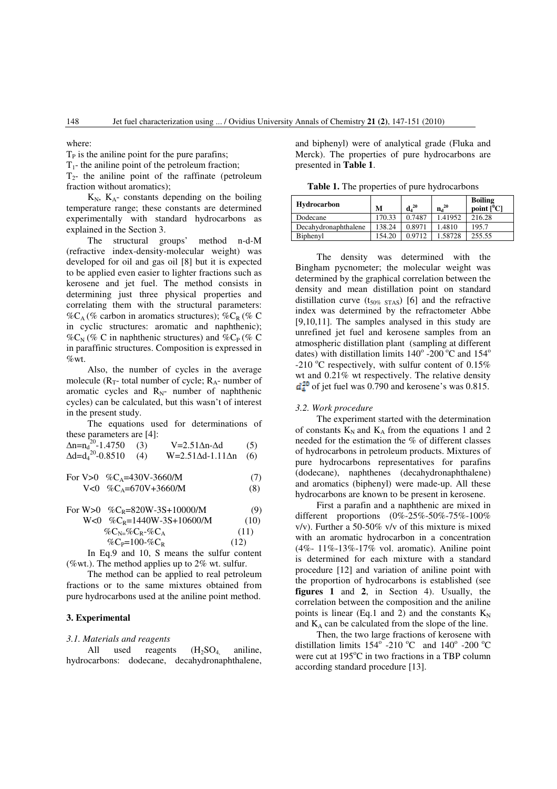where:

 $T<sub>P</sub>$  is the aniline point for the pure parafins;

 $T_1$ - the aniline point of the petroleum fraction;

 $T<sub>2</sub>$ - the aniline point of the raffinate (petroleum fraction without aromatics);

 $K_N$ ,  $K_A$ - constants depending on the boiling temperature range; these constants are determined experimentally with standard hydrocarbons as explained in the Section 3.

The structural groups' method n-d-M (refractive index-density-molecular weight) was developed for oil and gas oil [8] but it is expected to be applied even easier to lighter fractions such as kerosene and jet fuel. The method consists in determining just three physical properties and correlating them with the structural parameters:  $\%C_A$  (% carbon in aromatics structures);  $\%C_R$  (% C) in cyclic structures: aromatic and naphthenic);  $\%C_N$  (% C in naphthenic structures) and  $\%C_P$  (% C in paraffinic structures. Composition is expressed in  $\%$ wt.

Also, the number of cycles in the average molecule  $(R_T$ - total number of cycle;  $R_A$ - number of aromatic cycles and  $R_N$ - number of naphthenic cycles) can be calculated, but this wasn't of interest in the present study.

The equations used for determinations of these parameters are [4]:

| $\Delta$ n=n <sub>d</sub> <sup>-20</sup> -1.4750 (3) | V=2.51∆n-∆d                       | (5) |
|------------------------------------------------------|-----------------------------------|-----|
| $\Delta d = d_4^{20} - 0.8510$ (4)                   | $W=2.51\Delta d-1.11\Delta n$ (6) |     |

For V>0 %
$$
C_A
$$
=430V-3660/M (7)  
V<0 % $C_A$ =670V+3660/M (8)

For W>0 
$$
\%C_R = 820W - 3S + 10000/M
$$
 (9)  
W<0  $\%C_R = 1440W - 3S + 10600/M$  (10)

$$
\%C_{N=} \%C_{R} - \%C_{A} \tag{11}
$$
\n
$$
\%C_{P=} = 100 - \%C_{R} \tag{12}
$$

In Eq.9 and 10, S means the sulfur content (%wt.). The method applies up to 2% wt. sulfur.

The method can be applied to real petroleum fractions or to the same mixtures obtained from pure hydrocarbons used at the aniline point method.

### **3. Experimental**

#### *3.1. Materials and reagents*

All used reagents  $(H_2SO_4)$  aniline, hydrocarbons: dodecane, decahydronaphthalene, and biphenyl) were of analytical grade (Fluka and Merck). The properties of pure hydrocarbons are presented in **Table 1**.

**Table 1.** The properties of pure hydrocarbons

| Hydrocarbon          | M      | $\mathbf{d_4}^{20}$ | $n_d^{20}$ | <b>Boiling</b><br>point $[{}^0C]$ |
|----------------------|--------|---------------------|------------|-----------------------------------|
| Dodecane             | 170.33 | 0.7487              | 1.41952    | 216.28                            |
| Decahydronaphthalene | 138.24 | 0.8971              | 1.4810     | 195.7                             |
| Biphenyl             | 154.20 | 0.9712              | 1.58728    | 255.55                            |

The density was determined with the Bingham pycnometer; the molecular weight was determined by the graphical correlation between the density and mean distillation point on standard distillation curve  $(t_{50\%\,\,STAS})$  [6] and the refractive index was determined by the refractometer Abbe [9,10,11]. The samples analysed in this study are unrefined jet fuel and kerosene samples from an atmospheric distillation plant (sampling at different dates) with distillation limits  $140^{\circ}$  -200<sup>o</sup>C and  $154^{\circ}$ -210  $^{\circ}$ C respectively, with sulfur content of 0.15% wt and 0.21% wt respectively. The relative density  $d_4^{20}$  of jet fuel was 0.790 and kerosene's was 0.815.

#### *3.2. Work procedure*

The experiment started with the determination of constants  $K_N$  and  $K_A$  from the equations 1 and 2 needed for the estimation the % of different classes of hydrocarbons in petroleum products. Mixtures of pure hydrocarbons representatives for parafins (dodecane), naphthenes (decahydronaphthalene) and aromatics (biphenyl) were made-up. All these hydrocarbons are known to be present in kerosene.

First a parafin and a naphthenic are mixed in different proportions (0%-25%-50%-75%-100% v/v). Further a 50-50% v/v of this mixture is mixed with an aromatic hydrocarbon in a concentration (4%- 11%-13%-17% vol. aromatic). Aniline point is determined for each mixture with a standard procedure [12] and variation of aniline point with the proportion of hydrocarbons is established (see **figures 1** and **2**, in Section 4). Usually, the correlation between the composition and the aniline points is linear (Eq.1 and 2) and the constants  $K_N$ and  $K_A$  can be calculated from the slope of the line.

Then, the two large fractions of kerosene with distillation limits  $154^\circ$  -210 °C and  $140^\circ$  -200 °C were cut at 195°C in two fractions in a TBP column according standard procedure [13].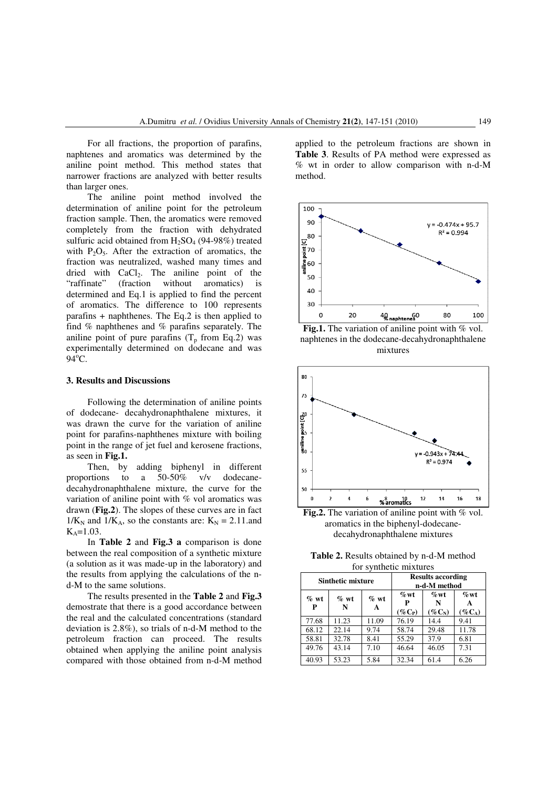For all fractions, the proportion of parafins, naphtenes and aromatics was determined by the aniline point method. This method states that narrower fractions are analyzed with better results than larger ones.

The aniline point method involved the determination of aniline point for the petroleum fraction sample. Then, the aromatics were removed completely from the fraction with dehydrated sulfuric acid obtained from  $H_2SO_4$  (94-98%) treated with  $P_2O_5$ . After the extraction of aromatics, the fraction was neutralized, washed many times and dried with  $CaCl<sub>2</sub>$ . The aniline point of the "raffinate" (fraction without aromatics) is determined and Eq.1 is applied to find the percent of aromatics. The difference to 100 represents parafins + naphthenes. The Eq.2 is then applied to find % naphthenes and % parafins separately. The aniline point of pure parafins  $(T_p$  from Eq.2) was experimentally determined on dodecane and was  $94^{\circ}$ C.

#### **3. Results and Discussions**

Following the determination of aniline points of dodecane- decahydronaphthalene mixtures, it was drawn the curve for the variation of aniline point for parafins-naphthenes mixture with boiling point in the range of jet fuel and kerosene fractions, as seen in **Fig.1.**

Then, by adding biphenyl in different proportions to a 50-50% v/v dodecanedecahydronaphthalene mixture, the curve for the variation of aniline point with % vol aromatics was drawn (**Fig.2**). The slopes of these curves are in fact  $1/K_N$  and  $1/K_A$ , so the constants are:  $K_N = 2.11$ .and  $K_A = 1.03$ .

In **Table 2** and **Fig.3 a** comparison is done between the real composition of a synthetic mixture (a solution as it was made-up in the laboratory) and the results from applying the calculations of the nd-M to the same solutions.

The results presented in the **Table 2** and **Fig.3** demostrate that there is a good accordance between the real and the calculated concentrations (standard deviation is 2.8%), so trials of n-d-M method to the petroleum fraction can proceed. The results obtained when applying the aniline point analysis compared with those obtained from n-d-M method

applied to the petroleum fractions are shown in **Table 3**. Results of PA method were expressed as % wt in order to allow comparison with n-d-M method.







**Fig.2.** The variation of aniline point with % vol. aromatics in the biphenyl-dodecanedecahydronaphthalene mixtures

| <b>Table 2.</b> Results obtained by n-d-M method |
|--------------------------------------------------|
| for synthetic mixtures                           |

| <b>Sinthetic mixture</b> |              | <b>Results according</b><br>n-d-M method |                      |                      |                      |
|--------------------------|--------------|------------------------------------------|----------------------|----------------------|----------------------|
| $\%$ wt<br>P             | $\%$ wt<br>N | $\%$ wt<br>A                             | $\%$ wt<br>$(\%C_P)$ | $\%$ wt<br>$(\%C_N)$ | $\%$ wt<br>$(\%C_A)$ |
| 77.68                    | 11.23        | 11.09                                    | 76.19                | 14.4                 | 9.41                 |
| 68.12                    | 22.14        | 9.74                                     | 58.74                | 29.48                | 11.78                |
| 58.81                    | 32.78        | 8.41                                     | 55.29                | 37.9                 | 6.81                 |
| 49.76                    | 43.14        | 7.10                                     | 46.64                | 46.05                | 7.31                 |
| 40.93                    | 53.23        | 5.84                                     | 32.34                | 61.4                 | 6.26                 |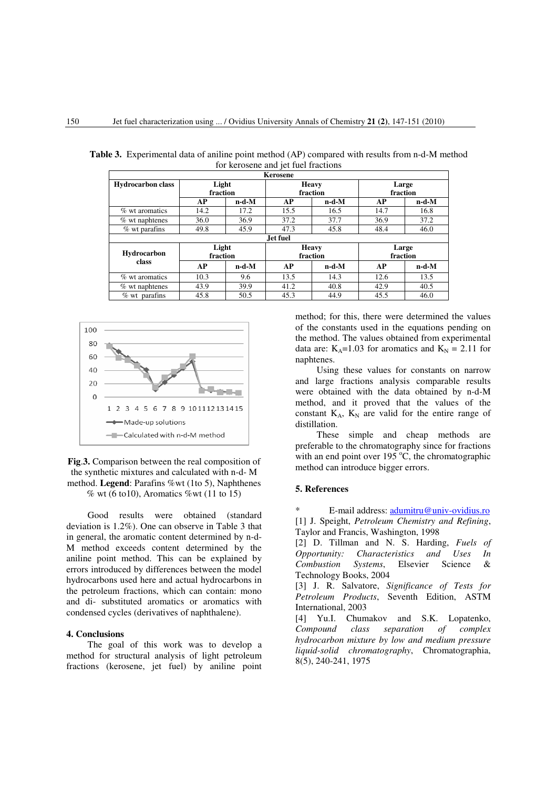| Kerosene                    |                   |                   |                          |                          |                   |                   |  |
|-----------------------------|-------------------|-------------------|--------------------------|--------------------------|-------------------|-------------------|--|
| <b>Hydrocarbon class</b>    | Light<br>fraction |                   | <b>Heavy</b><br>fraction |                          | Large<br>fraction |                   |  |
|                             | AP                | $n-d-M$           | AP                       | $n-d-M$                  | AP                | $n-d-M$           |  |
| % wt aromatics              | 14.2              | 17.2              | 15.5                     | 16.5                     | 14.7              | 16.8              |  |
| $%$ wt naphtenes            | 36.0              | 36.9              | 37.2                     | 37.7                     | 36.9              | 37.2              |  |
| $%$ wt parafins             | 49.8              | 45.9              | 47.3                     | 45.8                     | 48.4              | 46.0              |  |
| <b>Jet fuel</b>             |                   |                   |                          |                          |                   |                   |  |
| <b>Hydrocarbon</b><br>class |                   | Light<br>fraction |                          | <b>Heavy</b><br>fraction |                   | Large<br>fraction |  |
|                             | AP                | n-d-M             | AP                       | $n-d-M$                  | AP                | $n-d-M$           |  |
| % wt aromatics              | 10.3              | 9.6               | 13.5                     | 14.3                     | 12.6              | 13.5              |  |
| $%$ wt naphtenes            | 43.9              | 39.9              | 41.2                     | 40.8                     | 42.9              | 40.5              |  |
| $%$ wt parafins             | 45.8              | 50.5              | 45.3                     | 44.9                     | 45.5              | 46.0              |  |

**Table 3.** Experimental data of aniline point method (AP) compared with results from n-d-M method for kerosene and jet fuel fractions



## **Fig**.**3.** Comparison between the real composition of the synthetic mixtures and calculated with n-d- M method. **Legend**: Parafins %wt (1to 5), Naphthenes  $\%$  wt (6 to 10), Aromatics  $\%$  wt (11 to 15)

Good results were obtained (standard deviation is 1.2%). One can observe in Table 3 that in general, the aromatic content determined by n-d-M method exceeds content determined by the aniline point method. This can be explained by errors introduced by differences between the model hydrocarbons used here and actual hydrocarbons in the petroleum fractions, which can contain: mono and di- substituted aromatics or aromatics with condensed cycles (derivatives of naphthalene).

## **4. Conclusions**

The goal of this work was to develop a method for structural analysis of light petroleum fractions (kerosene, jet fuel) by aniline point method; for this, there were determined the values of the constants used in the equations pending on the method. The values obtained from experimental data are:  $K_A=1.03$  for aromatics and  $K_N = 2.11$  for naphtenes.

Using these values for constants on narrow and large fractions analysis comparable results were obtained with the data obtained by n-d-M method, and it proved that the values of the constant  $K_A$ ,  $K_N$  are valid for the entire range of distillation.

These simple and cheap methods are preferable to the chromatography since for fractions with an end point over  $195^{\circ}$ C, the chromatographic method can introduce bigger errors.

#### **5. References**

E-mail address: adumitru@univ-ovidius.ro [1] J. Speight, *Petroleum Chemistry and Refining*, Taylor and Francis, Washington, 1998

[2] D. Tillman and N. S. Harding, *Fuels of Opportunity: Characteristics and Uses In Combustion Systems*, Elsevier Science & Technology Books, 2004

[3] J. R. Salvatore, *Significance of Tests for Petroleum Products*, Seventh Edition, ASTM International, 2003

[4] Yu.I. Chumakov and S.K. Lopatenko, *Compound class separation of complex hydrocarbon mixture by low and medium pressure liquid-solid chromatography*, Chromatographia, 8(5), 240-241, 1975